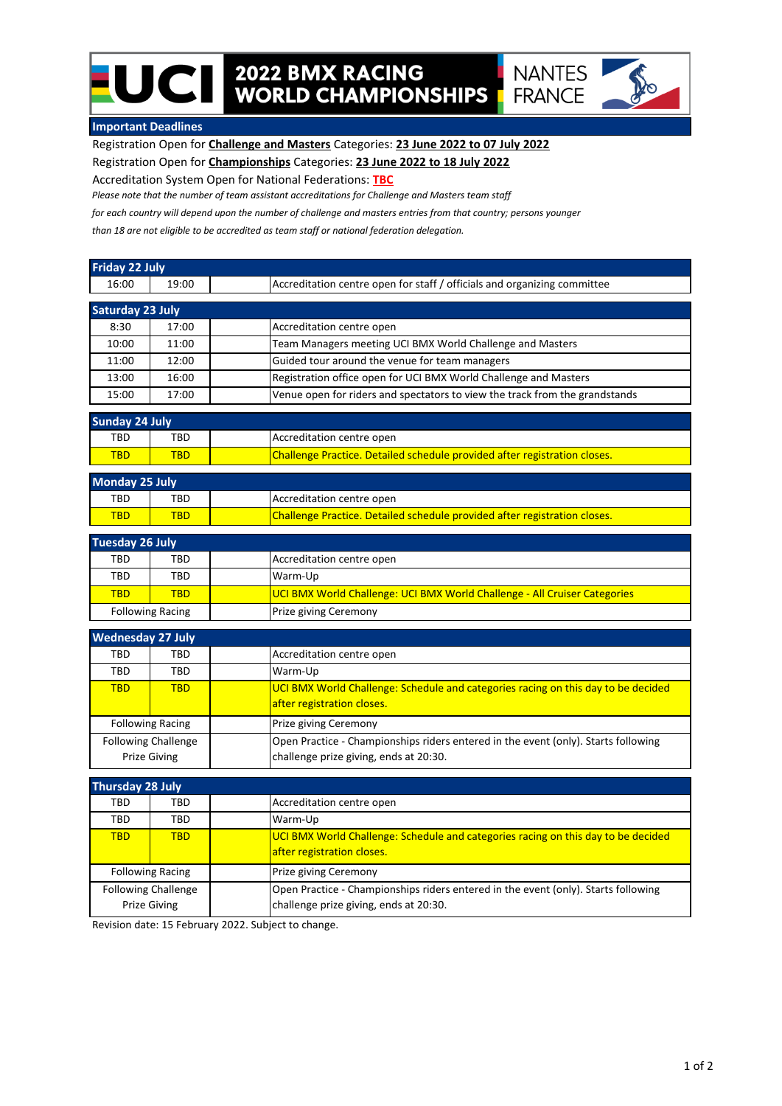## **2022 BMX RACING<br>WORLD CHAMPIONSHIPS**



## **Important Deadlines**

UCII

Registration Open for **Challenge and Masters** Categories: **23 June 2022 to 07 July 2022**

Registration Open for **Championships** Categories: **23 June 2022 to 18 July 2022**

Accreditation System Open for National Federations: **TBC**

*Please note that the number of team assistant accreditations for Challenge and Masters team staff*

*for each country will depend upon the number of challenge and masters entries from that country; persons younger*

*than 18 are not eligible to be accredited as team staff or national federation delegation.*

| <b>Friday 22 July</b>      |                            |                                                                                    |
|----------------------------|----------------------------|------------------------------------------------------------------------------------|
| 16:00                      | 19:00                      | Accreditation centre open for staff / officials and organizing committee           |
| <b>Saturday 23 July</b>    |                            |                                                                                    |
| 8:30                       | 17:00                      | Accreditation centre open                                                          |
| 10:00                      | 11:00                      | Team Managers meeting UCI BMX World Challenge and Masters                          |
| 11:00                      | 12:00                      | Guided tour around the venue for team managers                                     |
| 13:00                      | 16:00                      | Registration office open for UCI BMX World Challenge and Masters                   |
| 15:00                      | 17:00                      | Venue open for riders and spectators to view the track from the grandstands        |
| <b>Sunday 24 July</b>      |                            |                                                                                    |
| <b>TBD</b>                 | <b>TBD</b>                 | Accreditation centre open                                                          |
| <b>TBD</b>                 | <b>TBD</b>                 | Challenge Practice. Detailed schedule provided after registration closes.          |
| <b>Monday 25 July</b>      |                            |                                                                                    |
| TBD                        | TBD                        | Accreditation centre open                                                          |
| <b>TBD</b>                 | <b>TBD</b>                 | Challenge Practice. Detailed schedule provided after registration closes.          |
| <b>Tuesday 26 July</b>     |                            |                                                                                    |
| <b>TBD</b>                 | <b>TBD</b>                 | Accreditation centre open                                                          |
| <b>TBD</b>                 | <b>TBD</b>                 | Warm-Up                                                                            |
| <b>TBD</b>                 | <b>TBD</b>                 | UCI BMX World Challenge: UCI BMX World Challenge - All Cruiser Categories          |
|                            | <b>Following Racing</b>    | Prize giving Ceremony                                                              |
| <b>Wednesday 27 July</b>   |                            |                                                                                    |
| TBD                        | <b>TBD</b>                 | Accreditation centre open                                                          |
| <b>TBD</b>                 | <b>TBD</b>                 | Warm-Up                                                                            |
| <b>TBD</b>                 | <b>TBD</b>                 | UCI BMX World Challenge: Schedule and categories racing on this day to be decided  |
|                            |                            | after registration closes.                                                         |
|                            | <b>Following Racing</b>    | Prize giving Ceremony                                                              |
|                            | <b>Following Challenge</b> | Open Practice - Championships riders entered in the event (only). Starts following |
|                            | <b>Prize Giving</b>        | challenge prize giving, ends at 20:30.                                             |
| <b>Thursday 28 July</b>    |                            |                                                                                    |
| TBD                        | <b>TBD</b>                 | Accreditation centre open                                                          |
| <b>TBD</b>                 | <b>TBD</b>                 | Warm-Up                                                                            |
| <b>TBD</b>                 | <b>TBD</b>                 | UCI BMX World Challenge: Schedule and categories racing on this day to be decided  |
|                            |                            | after registration closes.                                                         |
|                            | <b>Following Racing</b>    | Prize giving Ceremony                                                              |
| <b>Following Challenge</b> |                            | Open Practice - Championships riders entered in the event (only). Starts following |
|                            | <b>Prize Giving</b>        | challenge prize giving, ends at 20:30.                                             |

Revision date: 15 February 2022. Subject to change.